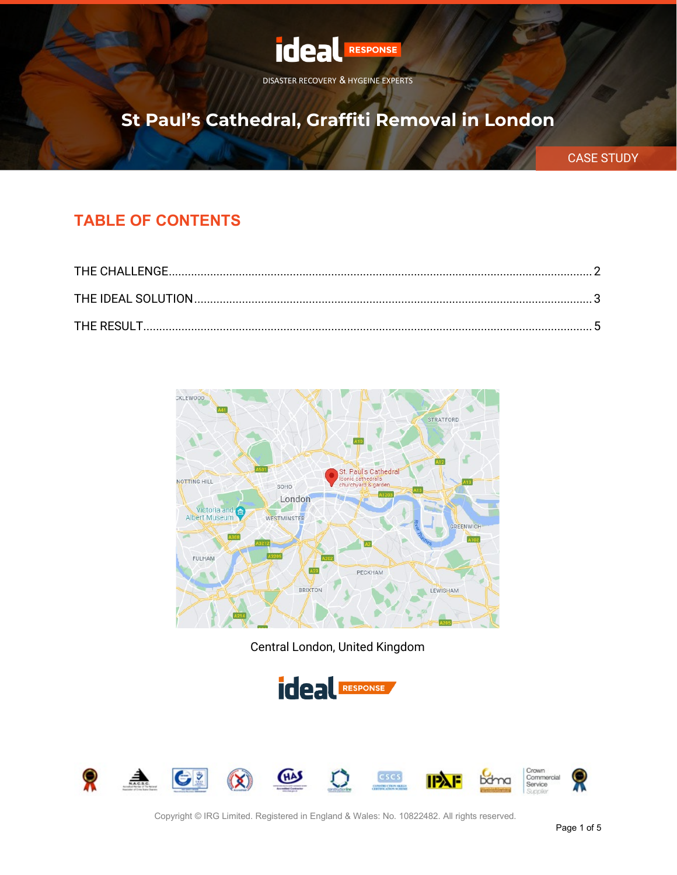

# **St Paul's Cathedral, Graffiti Removal in London**

CASE STUDY

#### **TABLE OF CONTENTS**



Central London, United Kingdom



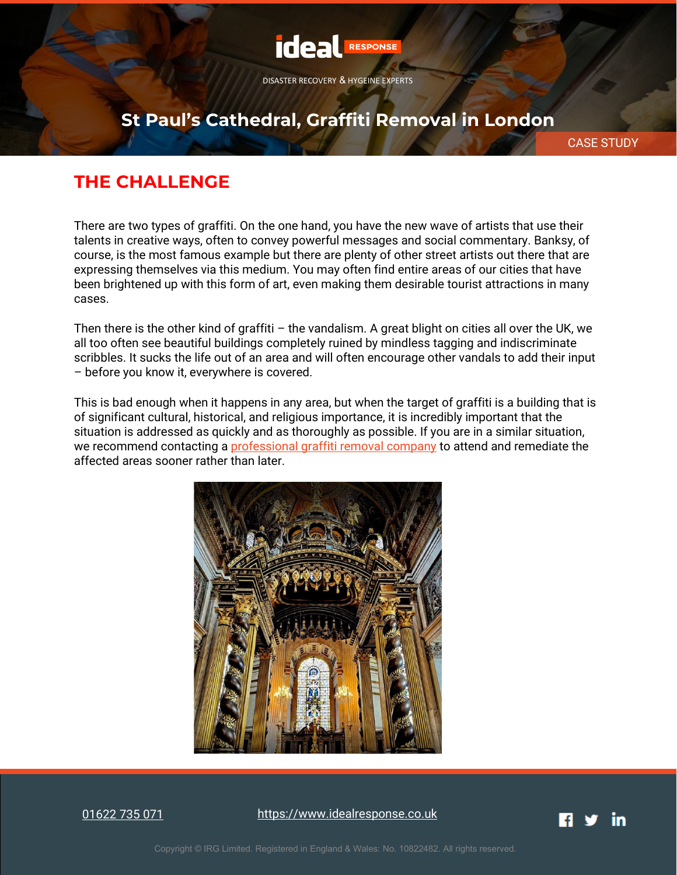

### **St Paul's Cathedral, Graffiti Removal in London**

CASE STUDY

### <span id="page-1-0"></span>**THE CHALLENGE**

There are two types of graffiti. On the one hand, you have the new wave of artists that use their talents in creative ways, often to convey powerful messages and social commentary. Banksy, of course, is the most famous example but there are plenty of other street artists out there that are expressing themselves via this medium. You may often find entire areas of our cities that have been brightened up with this form of art, even making them desirable tourist attractions in many cases.

Then there is the other kind of graffiti – the vandalism. A great blight on cities all over the UK, we all too often see beautiful buildings completely ruined by mindless tagging and indiscriminate scribbles. It sucks the life out of an area and will often encourage other vandals to add their input – before you know it, everywhere is covered.

This is bad enough when it happens in any area, but when the target of graffiti is a building that is of significant cultural, historical, and religious importance, it is incredibly important that the situation is addressed as quickly and as thoroughly as possible. If you are in a similar situation, we recommend contacting a [professional graffiti removal company](https://www.idealresponse.co.uk/graffiti-removal/) to attend and remediate the affected areas sooner rather than later.



[01622 735 071](tel:01622735071)

[https://www.idealresponse.co.uk](https://www.idealresponse.co.uk/?utm_source=pdf&utm_medium=footer&utm_campaign=case_study)

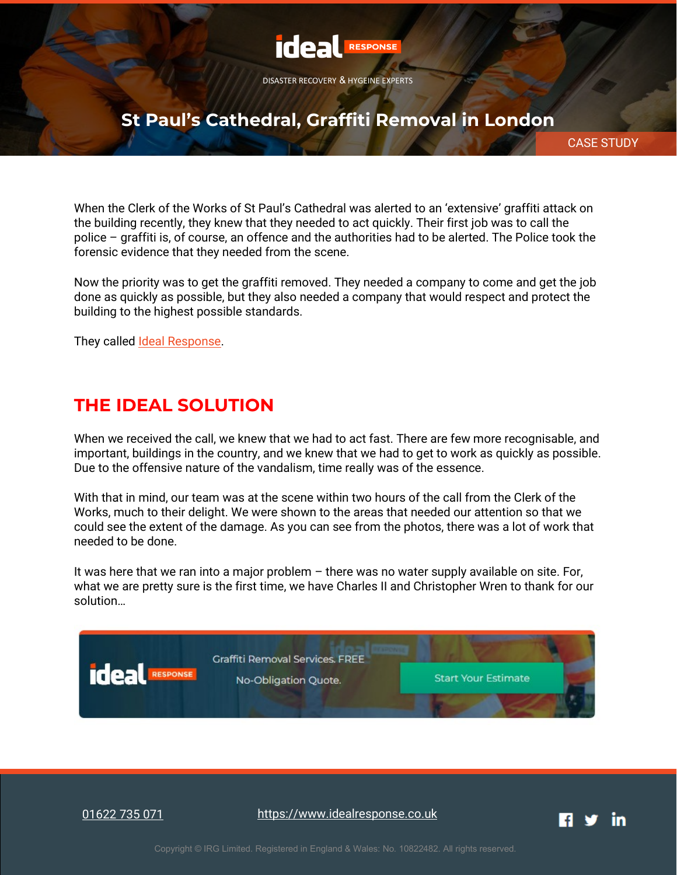

# **St Paul's Cathedral, Graffiti Removal in London**

CASE STUDY

When the Clerk of the Works of St Paul's Cathedral was alerted to an 'extensive' graffiti attack on the building recently, they knew that they needed to act quickly. Their first job was to call the police – graffiti is, of course, an offence and the authorities had to be alerted. The Police took the forensic evidence that they needed from the scene.

Now the priority was to get the graffiti removed. They needed a company to come and get the job done as quickly as possible, but they also needed a company that would respect and protect the building to the highest possible standards.

They called [Ideal Response.](https://www.idealresponse.co.uk/)

### <span id="page-2-0"></span>**THE IDEAL SOLUTION**

When we received the call, we knew that we had to act fast. There are few more recognisable, and important, buildings in the country, and we knew that we had to get to work as quickly as possible. Due to the offensive nature of the vandalism, time really was of the essence.

With that in mind, our team was at the scene within two hours of the call from the Clerk of the Works, much to their delight. We were shown to the areas that needed our attention so that we could see the extent of the damage. As you can see from the photos, there was a lot of work that needed to be done.

It was here that we ran into a major problem – there was no water supply available on site. For, what we are pretty sure is the first time, we have Charles II and Christopher Wren to thank for our solution…



[01622 735 071](tel:01622735071)

[https://www.idealresponse.co.uk](https://www.idealresponse.co.uk/?utm_source=pdf&utm_medium=footer&utm_campaign=case_study)

in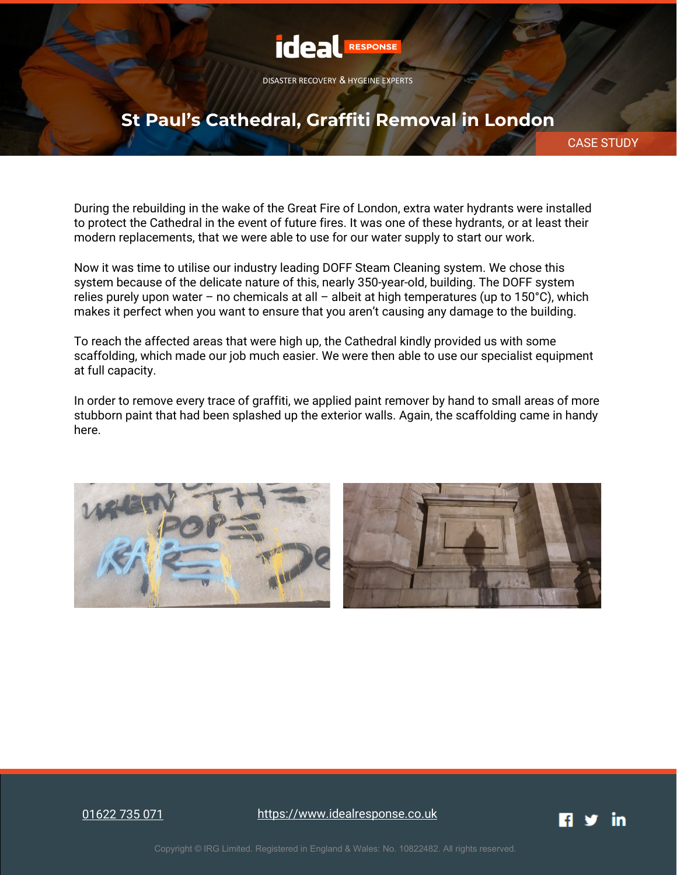

### **St Paul's Cathedral, Graffiti Removal in London**

CASE STUDY

During the rebuilding in the wake of the Great Fire of London, extra water hydrants were installed to protect the Cathedral in the event of future fires. It was one of these hydrants, or at least their modern replacements, that we were able to use for our water supply to start our work.

Now it was time to utilise our industry leading DOFF Steam Cleaning system. We chose this system because of the delicate nature of this, nearly 350-year-old, building. The DOFF system relies purely upon water – no chemicals at all – albeit at high temperatures (up to  $150^{\circ}$ C), which makes it perfect when you want to ensure that you aren't causing any damage to the building.

To reach the affected areas that were high up, the Cathedral kindly provided us with some scaffolding, which made our job much easier. We were then able to use our specialist equipment at full capacity.

In order to remove every trace of graffiti, we applied paint remover by hand to small areas of more stubborn paint that had been splashed up the exterior walls. Again, the scaffolding came in handy here.



[01622 735 071](tel:01622735071)

[https://www.idealresponse.co.uk](https://www.idealresponse.co.uk/?utm_source=pdf&utm_medium=footer&utm_campaign=case_study)

in